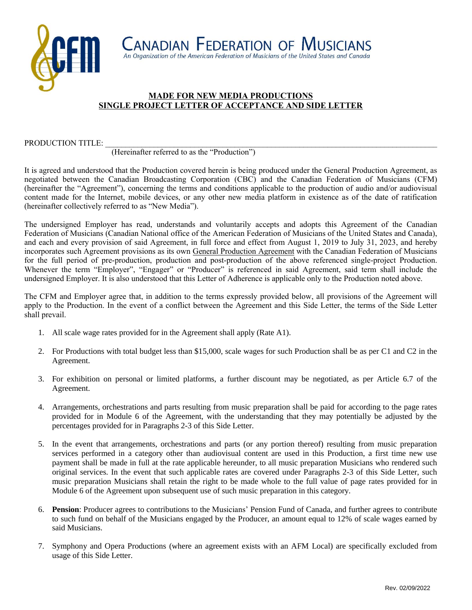

## **MADE FOR NEW MEDIA PRODUCTIONS SINGLE PROJECT LETTER OF ACCEPTANCE AND SIDE LETTER**

#### PRODUCTION TITLE:

#### (Hereinafter referred to as the "Production")

It is agreed and understood that the Production covered herein is being produced under the General Production Agreement, as negotiated between the Canadian Broadcasting Corporation (CBC) and the Canadian Federation of Musicians (CFM) (hereinafter the "Agreement"), concerning the terms and conditions applicable to the production of audio and/or audiovisual content made for the Internet, mobile devices, or any other new media platform in existence as of the date of ratification (hereinafter collectively referred to as "New Media").

The undersigned Employer has read, understands and voluntarily accepts and adopts this Agreement of the Canadian Federation of Musicians (Canadian National office of the American Federation of Musicians of the United States and Canada), and each and every provision of said Agreement, in full force and effect from August 1, 2019 to July 31, 2023, and hereby incorporates such Agreement provisions as its own General Production Agreement with the Canadian Federation of Musicians for the full period of pre-production, production and post-production of the above referenced single-project Production. Whenever the term "Employer", "Engager" or "Producer" is referenced in said Agreement, said term shall include the undersigned Employer. It is also understood that this Letter of Adherence is applicable only to the Production noted above.

The CFM and Employer agree that, in addition to the terms expressly provided below, all provisions of the Agreement will apply to the Production. In the event of a conflict between the Agreement and this Side Letter, the terms of the Side Letter shall prevail.

- 1. All scale wage rates provided for in the Agreement shall apply (Rate A1).
- 2. For Productions with total budget less than \$15,000, scale wages for such Production shall be as per C1 and C2 in the Agreement.
- 3. For exhibition on personal or limited platforms, a further discount may be negotiated, as per Article 6.7 of the Agreement.
- 4. Arrangements, orchestrations and parts resulting from music preparation shall be paid for according to the page rates provided for in Module 6 of the Agreement, with the understanding that they may potentially be adjusted by the percentages provided for in Paragraphs 2-3 of this Side Letter.
- 5. In the event that arrangements, orchestrations and parts (or any portion thereof) resulting from music preparation services performed in a category other than audiovisual content are used in this Production, a first time new use payment shall be made in full at the rate applicable hereunder, to all music preparation Musicians who rendered such original services. In the event that such applicable rates are covered under Paragraphs 2-3 of this Side Letter, such music preparation Musicians shall retain the right to be made whole to the full value of page rates provided for in Module 6 of the Agreement upon subsequent use of such music preparation in this category.
- 6. **Pension**: Producer agrees to contributions to the Musicians' Pension Fund of Canada, and further agrees to contribute to such fund on behalf of the Musicians engaged by the Producer, an amount equal to 12% of scale wages earned by said Musicians.
- 7. Symphony and Opera Productions (where an agreement exists with an AFM Local) are specifically excluded from usage of this Side Letter.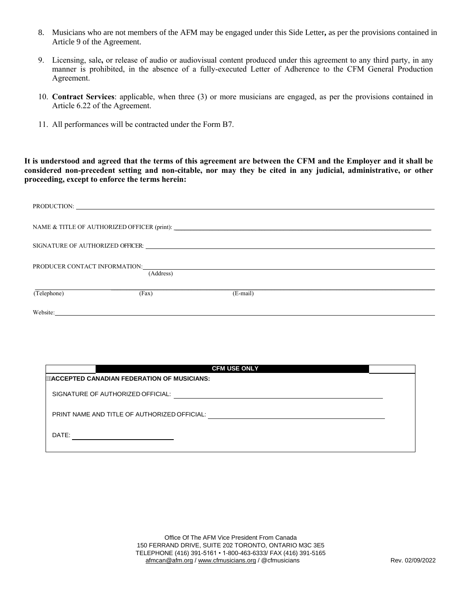- 8. Musicians who are not members of the AFM may be engaged under this Side Letter**,** as per the provisions contained in Article 9 of the Agreement.
- 9. Licensing, sale**,** or release of audio or audiovisual content produced under this agreement to any third party, in any manner is prohibited, in the absence of a fully-executed Letter of Adherence to the CFM General Production Agreement.
- 10. **Contract Services**: applicable, when three (3) or more musicians are engaged, as per the provisions contained in Article 6.22 of the Agreement.
- 11. All performances will be contracted under the Form B7.

**It is understood and agreed that the terms of this agreement are between the CFM and the Employer and it shall be considered non-precedent setting and non-citable, nor may they be cited in any judicial, administrative, or other proceeding, except to enforce the terms herein:** 

|                               |           | NAME & TITLE OF AUTHORIZED OFFICER (print): |  |  |  |
|-------------------------------|-----------|---------------------------------------------|--|--|--|
|                               |           |                                             |  |  |  |
| PRODUCER CONTACT INFORMATION: | (Address) |                                             |  |  |  |
| (Telephone)                   | (Fax)     | $(E-mail)$                                  |  |  |  |
| Website:                      |           |                                             |  |  |  |

| <b>CFM USE ONLY</b>                          |  |  |  |  |
|----------------------------------------------|--|--|--|--|
| "ACCEPTED CANADIAN FEDERATION OF MUSICIANS:  |  |  |  |  |
| SIGNATURE OF AUTHORIZED OFFICIAL:            |  |  |  |  |
| PRINT NAME AND TITLE OF AUTHORIZED OFFICIAL: |  |  |  |  |
| DATE:                                        |  |  |  |  |